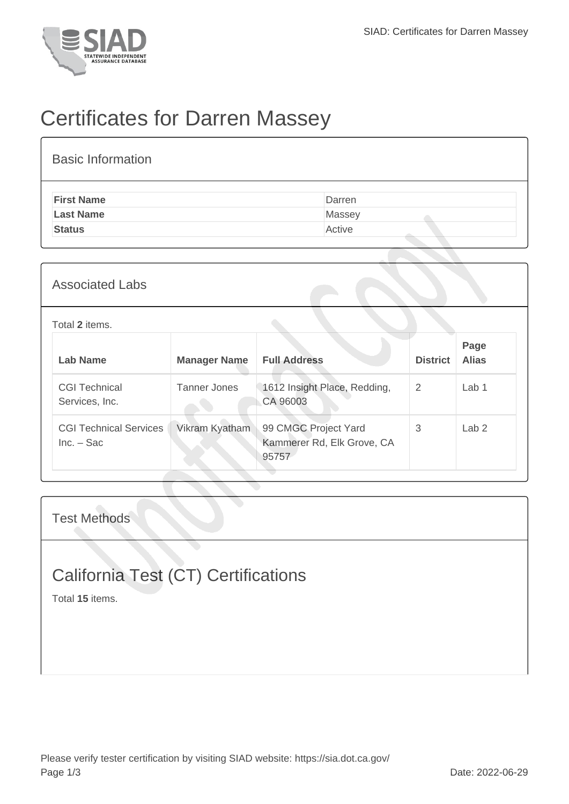

# Certificates for Darren Massey

| <b>Basic Information</b> |        |
|--------------------------|--------|
| <b>First Name</b>        | Darren |
| <b>Last Name</b>         | Massey |
| <b>Status</b>            | Active |

### Associated Labs

#### Total **2** items.

| Lab Name                                                        | <b>Manager Name</b> | <b>Full Address</b>                                         | <b>District</b> | Page<br><b>Alias</b> |
|-----------------------------------------------------------------|---------------------|-------------------------------------------------------------|-----------------|----------------------|
| <b>CGI Technical</b><br>Services, Inc.                          | <b>Tanner Jones</b> | 1612 Insight Place, Redding,<br>CA 96003                    | 2               | Lab <sub>1</sub>     |
| Vikram Kyatham<br><b>CGI Technical Services</b><br>$Inc. - Sac$ |                     | 99 CMGC Project Yard<br>Kammerer Rd, Elk Grove, CA<br>95757 | 3               | Lab <sub>2</sub>     |

#### Test Methods

## California Test (CT) Certifications

Total **15** items.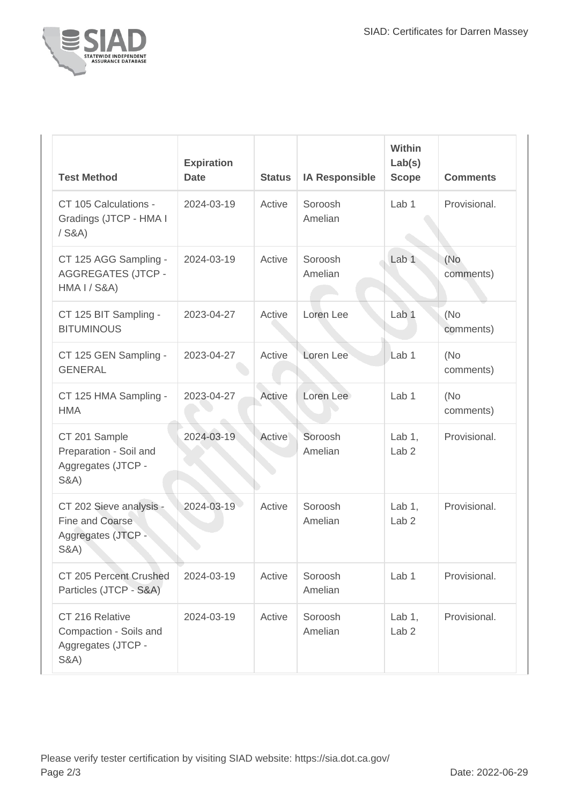

| <b>Test Method</b>                                                                  | <b>Expiration</b><br><b>Date</b> | <b>Status</b> | <b>IA Responsible</b> | Within<br>Lab(s)<br><b>Scope</b> | <b>Comments</b>  |
|-------------------------------------------------------------------------------------|----------------------------------|---------------|-----------------------|----------------------------------|------------------|
| CT 105 Calculations -<br>Gradings (JTCP - HMA I<br>$/$ S&A)                         | 2024-03-19                       | Active        | Soroosh<br>Amelian    | Lab <sub>1</sub>                 | Provisional.     |
| CT 125 AGG Sampling -<br><b>AGGREGATES (JTCP -</b><br><b>HMA I / S&amp;A)</b>       | 2024-03-19                       | Active        | Soroosh<br>Amelian    | Lab <sub>1</sub>                 | (No<br>comments) |
| CT 125 BIT Sampling -<br><b>BITUMINOUS</b>                                          | 2023-04-27                       | Active        | Loren Lee             | Lab <sub>1</sub>                 | (No<br>comments) |
| CT 125 GEN Sampling -<br><b>GENERAL</b>                                             | 2023-04-27                       | Active        | Loren Lee             | Lab <sub>1</sub>                 | (No<br>comments) |
| CT 125 HMA Sampling -<br><b>HMA</b>                                                 | 2023-04-27                       | Active        | Loren Lee             | Lab <sub>1</sub>                 | (No<br>comments) |
| CT 201 Sample<br>Preparation - Soil and<br>Aggregates (JTCP -<br><b>S&amp;A)</b>    | 2024-03-19                       | Active        | Soroosh<br>Amelian    | Lab $1$ ,<br>Lab <sub>2</sub>    | Provisional.     |
| CT 202 Sieve analysis -<br>Fine and Coarse<br>Aggregates (JTCP -<br><b>S&amp;A)</b> | 2024-03-19                       | Active        | Soroosh<br>Amelian    | Lab $1$ ,<br>Lab <sub>2</sub>    | Provisional.     |
| CT 205 Percent Crushed<br>Particles (JTCP - S&A)                                    | 2024-03-19                       | Active        | Soroosh<br>Amelian    | Lab <sub>1</sub>                 | Provisional.     |
| CT 216 Relative<br>Compaction - Soils and<br>Aggregates (JTCP -<br><b>S&amp;A</b> ) | 2024-03-19                       | Active        | Soroosh<br>Amelian    | Lab $1,$<br>Lab <sub>2</sub>     | Provisional.     |